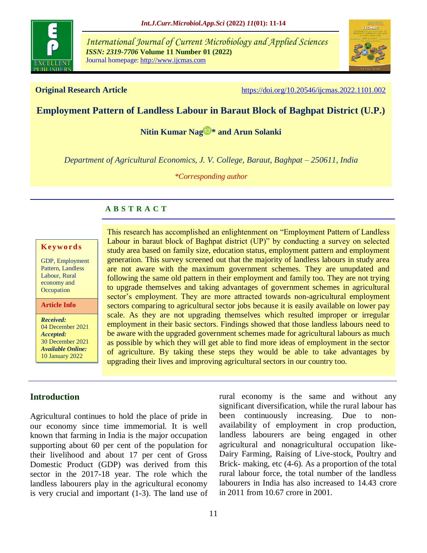

*International Journal of Current Microbiology and Applied Sciences ISSN: 2319-7706* **Volume 11 Number 01 (2022)**  Journal homepage: http://www.ijcmas.com



**Original Research Article** <https://doi.org/10.20546/ijcmas.2022.1101.002>

# **Employment Pattern of Landless Labour in Baraut Block of Baghpat District (U.P.)**

**[Nitin Kumar Nag](https://orcid.org/0000-0001-6404-7084) [\\*](https://orcid.org/0000-0001-6404-7084) and Arun Solanki**

*Department of Agricultural Economics, J. V. College, Baraut, Baghpat – 250611, India*

*\*Corresponding author*

## **A B S T R A C T**

#### **K ey w o rd s**

GDP, Employment Pattern, Landless Labour, Rural economy and **Occupation** 

**Article Info**

*Received:*  04 December 2021 *Accepted:*  30 December 2021 *Available Online:* 10 January 2022

This research has accomplished an enlightenment on "Employment Pattern of Landless Labour in baraut block of Baghpat district (UP)" by conducting a survey on selected study area based on family size, education status, employment pattern and employment generation. This survey screened out that the majority of landless labours in study area are not aware with the maximum government schemes. They are unupdated and following the same old pattern in their employment and family too. They are not trying to upgrade themselves and taking advantages of government schemes in agricultural sector's employment. They are more attracted towards non-agricultural employment sectors comparing to agricultural sector jobs because it is easily available on lower pay scale. As they are not upgrading themselves which resulted improper or irregular employment in their basic sectors. Findings showed that those landless labours need to be aware with the upgraded government schemes made for agricultural labours as much as possible by which they will get able to find more ideas of employment in the sector of agriculture. By taking these steps they would be able to take advantages by upgrading their lives and improving agricultural sectors in our country too.

## **Introduction**

Agricultural continues to hold the place of pride in our economy since time immemorial. It is well known that farming in India is the major occupation supporting about 60 per cent of the population for their livelihood and about 17 per cent of Gross Domestic Product (GDP) was derived from this sector in the 2017-18 year. The role which the landless labourers play in the agricultural economy is very crucial and important (1-3). The land use of rural economy is the same and without any significant diversification, while the rural labour has been continuously increasing. Due to nonavailability of employment in crop production, landless labourers are being engaged in other agricultural and nonagricultural occupation like-Dairy Farming, Raising of Live-stock, Poultry and Brick- making, etc (4-6). As a proportion of the total rural labour force, the total number of the landless labourers in India has also increased to 14.43 crore in 2011 from 10.67 crore in 2001.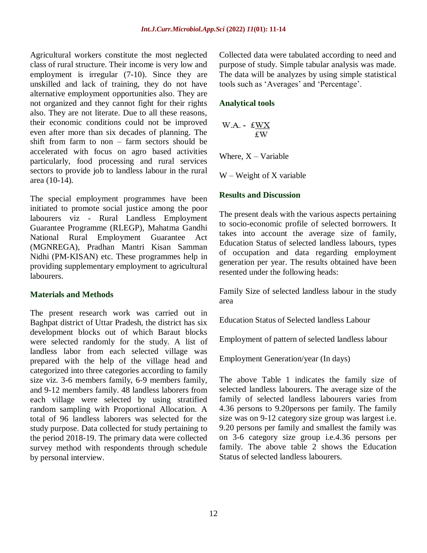Agricultural workers constitute the most neglected class of rural structure. Their income is very low and employment is irregular (7-10). Since they are unskilled and lack of training, they do not have alternative employment opportunities also. They are not organized and they cannot fight for their rights also. They are not literate. Due to all these reasons, their economic conditions could not be improved even after more than six decades of planning. The shift from farm to non – farm sectors should be accelerated with focus on agro based activities particularly, food processing and rural services sectors to provide job to landless labour in the rural area (10-14).

The special employment programmes have been initiated to promote social justice among the poor labourers viz - Rural Landless Employment Guarantee Programme (RLEGP), Mahatma Gandhi National Rural Employment Guarantee Act (MGNREGA), Pradhan Mantri Kisan Samman Nidhi (PM-KISAN) etc. These programmes help in providing supplementary employment to agricultural labourers.

## **Materials and Methods**

The present research work was carried out in Baghpat district of Uttar Pradesh, the district has six development blocks out of which Baraut blocks were selected randomly for the study. A list of landless labor from each selected village was prepared with the help of the village head and categorized into three categories according to family size viz. 3-6 members family, 6-9 members family, and 9-12 members family. 48 landless laborers from each village were selected by using stratified random sampling with Proportional Allocation. A total of 96 landless laborers was selected for the study purpose. Data collected for study pertaining to the period 2018-19. The primary data were collected survey method with respondents through schedule by personal interview.

Collected data were tabulated according to need and purpose of study. Simple tabular analysis was made. The data will be analyzes by using simple statistical tools such as 'Averages' and 'Percentage'.

# **Analytical tools**

$$
W.A. - \frac{fWX}{fW}
$$

Where,  $X -$ Variable

W – Weight of X variable

# **Results and Discussion**

The present deals with the various aspects pertaining to socio-economic profile of selected borrowers. It takes into account the average size of family, Education Status of selected landless labours, types of occupation and data regarding employment generation per year. The results obtained have been resented under the following heads:

Family Size of selected landless labour in the study area

Education Status of Selected landless Labour

Employment of pattern of selected landless labour

Employment Generation/year (In days)

The above Table 1 indicates the family size of selected landless labourers. The average size of the family of selected landless labourers varies from 4.36 persons to 9.20persons per family. The family size was on 9-12 category size group was largest i.e. 9.20 persons per family and smallest the family was on 3-6 category size group i.e.4.36 persons per family. The above table 2 shows the Education Status of selected landless labourers.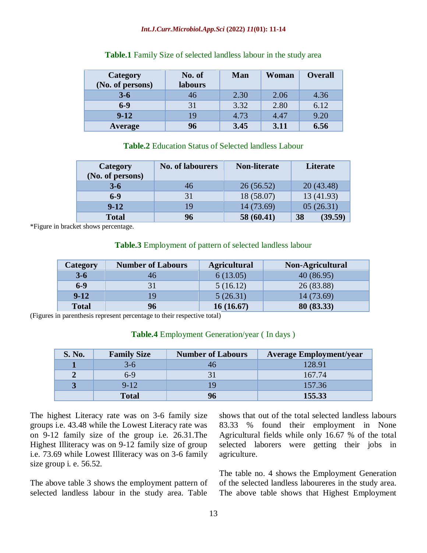### *Int.J.Curr.Microbiol.App.Sci* **(2022)** *11***(01): 11-14**

| <b>Category</b><br>(No. of persons) | No. of<br><b>labours</b> | <b>Man</b> | Woman | <b>Overall</b> |
|-------------------------------------|--------------------------|------------|-------|----------------|
| $3 - 6$                             | 46                       | 2.30       | 2.06  | 4.36           |
| $6 - 9$                             | 31                       | 3.32       | 2.80  | 6.12           |
| $9-12$                              | 19                       | 4.73       | 4.47  | 9.20           |
| Average                             | 96                       | 3.45       | 3.11  | 6.56           |

## **Table.1** Family Size of selected landless labour in the study area

## **Table.2** Education Status of Selected landless Labour

| Category<br>(No. of persons) | <b>No. of labourers</b> | <b>Non-literate</b> | Literate      |
|------------------------------|-------------------------|---------------------|---------------|
| $3 - 6$                      | 46                      | 26(56.52)           | 20(43.48)     |
| $6 - 9$                      | 31                      | 18 (58.07)          | 13 (41.93)    |
| $9 - 12$                     | 19                      | 14 (73.69)          | 05(26.31)     |
| <b>Total</b>                 | 96                      | 58 (60.41)          | (39.59)<br>38 |

\*Figure in bracket shows percentage.

## **Table.3** Employment of pattern of selected landless labour

| Category     | <b>Number of Labours</b> | <b>Agricultural</b> | Non-Agricultural |
|--------------|--------------------------|---------------------|------------------|
| $3 - 6$      | 46                       | 6(13.05)            | 40(86.95)        |
| $6-9$        | 31                       | 5(16.12)            | 26 (83.88)       |
| $9 - 12$     | 19                       | 5(26.31)            | 14 (73.69)       |
| <b>Total</b> | 96                       | 16(16.67)           | 80 (83.33)       |

(Figures in parenthesis represent percentage to their respective total)

## **Table.4** Employment Generation/year ( In days )

| S. No. | <b>Family Size</b> | <b>Number of Labours</b> | <b>Average Employment/year</b> |
|--------|--------------------|--------------------------|--------------------------------|
|        | $3-6$              |                          | 128.91                         |
|        | $6-9$              |                          | 167.74                         |
|        | $9-12$             |                          | 157.36                         |
|        | <b>Total</b>       |                          | 155.33                         |

The highest Literacy rate was on 3-6 family size groups i.e. 43.48 while the Lowest Literacy rate was on 9-12 family size of the group i.e. 26.31.The Highest Illiteracy was on 9-12 family size of group i.e. 73.69 while Lowest Illiteracy was on 3-6 family size group i. e. 56.52.

The above table 3 shows the employment pattern of selected landless labour in the study area. Table

shows that out of the total selected landless labours 83.33 % found their employment in None Agricultural fields while only 16.67 % of the total selected laborers were getting their jobs in agriculture.

The table no. 4 shows the Employment Generation of the selected landless laboureres in the study area. The above table shows that Highest Employment